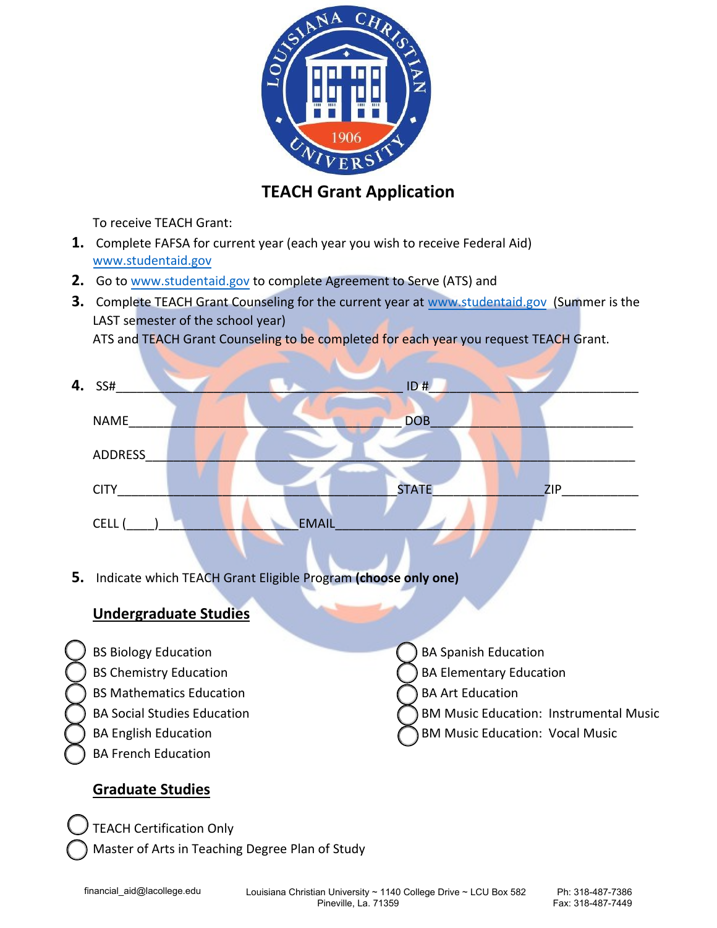

## **TEACH Grant Application**

To receive TEACH Grant:

- **1.** Complete FAFSA for current year (each year you wish to receive Federal Aid) www.studentaid.gov
- **2.** Go to [www.student](http://www.studentloans.gov/)aid.gov to complete Agreement to Serve (ATS) and
- **3.** Complete TEACH Grant Counseling for the current year at [www.student](http://www.studentloans.gov/)aid.gov (Summer is the LAST semester of the school year)

ATS and TEACH Grant Counseling to be completed for each year you request TEACH Grant.

| 4. SS#         |              | ID#          |     |  |
|----------------|--------------|--------------|-----|--|
| <b>NAME</b>    |              | <b>DOB</b>   |     |  |
| <b>ADDRESS</b> |              |              |     |  |
| <b>CITY</b>    |              | <b>STATE</b> | ZIP |  |
| CELL (         | <b>EMAIL</b> |              |     |  |

**5.** Indicate which TEACH Grant Eligible Program **(choose only one)**

## **Undergraduate Studies**

- BS Biology Education
- BS Chemistry Education
- BS Mathematics Education
- BA Social Studies Education
- BA English Education
- BA French Education

# BA Spanish Education

- BA Elementary Education
- BA Art Education
- BM Music Education: Instrumental Music
- BM Music Education: Vocal Music

## **Graduate Studies**

 TEACH Certification Only Master of Arts in Teaching Degree Plan of Study